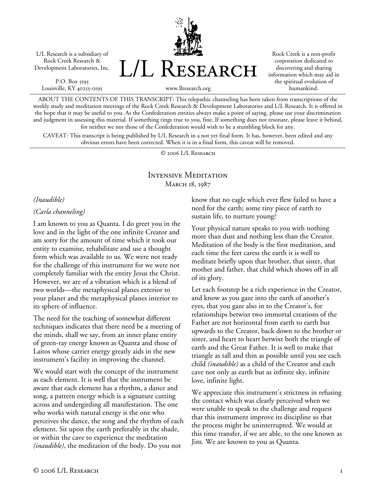L/L Research is a subsidiary of Rock Creek Research & Development Laboratories, Inc.

P.O. Box 5195 Louisville, KY 40255-0195 L/L Research

Rock Creek is a non-profit corporation dedicated to discovering and sharing information which may aid in the spiritual evolution of humankind.

www.llresearch.org

ABOUT THE CONTENTS OF THIS TRANSCRIPT: This telepathic channeling has been taken from transcriptions of the weekly study and meditation meetings of the Rock Creek Research & Development Laboratories and L/L Research. It is offered in the hope that it may be useful to you. As the Confederation entities always make a point of saying, please use your discrimination and judgment in assessing this material. If something rings true to you, fine. If something does not resonate, please leave it behind, for neither we nor those of the Confederation would wish to be a stumbling block for any.

CAVEAT: This transcript is being published by L/L Research in a not yet final form. It has, however, been edited and any obvious errors have been corrected. When it is in a final form, this caveat will be removed.

© 2006 L/L Research

## Intensive Meditation MARCH 18, 1987

#### *(Inaudible)*

*(Carla channeling)* 

I am known to you as Quanta. I do greet you in the love and in the light of the one infinite Creator and am sorry for the amount of time which it took our entity to examine, rehabilitate and use a thought form which was available to us. We were not ready for the challenge of this instrument for we were not completely familiar with the entity Jesus the Christ. However, we are of a vibration which is a blend of two worlds—the metaphysical planes exterior to your planet and the metaphysical planes interior to its sphere of influence.

The need for the teaching of somewhat different techniques indicates that there need be a meeting of the minds, shall we say, from an inner plane entity of green-ray energy known as Quanta and those of Laitos whose carrier energy greatly aids in the new instrument's facility in improving the channel.

We would start with the concept of the instrument as each element. It is well that the instrument be aware that each element has a rhythm, a dance and song, a pattern energy which is a signature cutting across and undergirding all manifestation. The one who works with natural energy is the one who perceives the dance, the song and the rhythm of each element. Sit upon the earth preferably in the shade, or within the cave to experience the meditation *(inaudible)*, the meditation of the body. Do you not

know that no eagle which ever flew failed to have a need for the earth; some tiny piece of earth to sustain life, to nurture young?

Your physical nature speaks to you with nothing more than dust and nothing less than the Creator. Meditation of the body is the first meditation, and each time the feet caress the earth it is well to meditate briefly upon that brother, that sister, that mother and father, that child which shows off in all of its glory.

Let each footstep be a rich experience in the Creator, and know as you gaze into the earth of another's eyes, that you gaze also in to the Creator's, for relationships betwixt two immortal creations of the Father are not horizontal from earth to earth but upwards to the Creator, back down to the brother or sister, and heart to heart betwixt both the triangle of earth and the Great Father. It is well to make that triangle as tall and thin as possible until you see each child *(inaudible)* as a child of the Creator and each cave not only as earth but as infinite sky, infinite love, infinite light.

We appreciate this instrument's strictness in refusing the contact which was clearly perceived when we were unable to speak to the challenge and request that this instrument improve its discipline so that the process might be uninterrupted. We would at this time transfer, if we are able, to the one known as Jim. We are known to you as Quanta.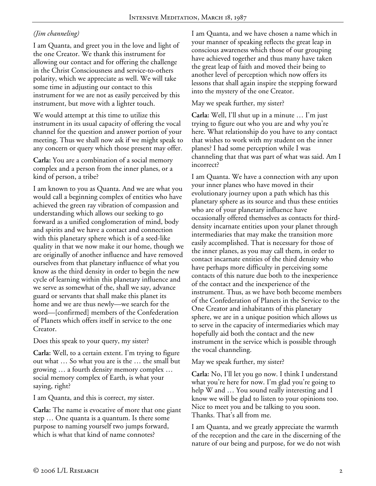# *(Jim channeling)*

I am Quanta, and greet you in the love and light of the one Creator. We thank this instrument for allowing our contact and for offering the challenge in the Christ Consciousness and service-to-others polarity, which we appreciate as well. We will take some time in adjusting our contact to this instrument for we are not as easily perceived by this instrument, but move with a lighter touch.

We would attempt at this time to utilize this instrument in its usual capacity of offering the vocal channel for the question and answer portion of your meeting. Thus we shall now ask if we might speak to any concern or query which those present may offer.

**Carla:** You are a combination of a social memory complex and a person from the inner planes, or a kind of person, a tribe?

I am known to you as Quanta. And we are what you would call a beginning complex of entities who have achieved the green ray vibration of compassion and understanding which allows our seeking to go forward as a unified conglomeration of mind, body and spirits and we have a contact and connection with this planetary sphere which is of a seed-like quality in that we now make it our home, though we are originally of another influence and have removed ourselves from that planetary influence of what you know as the third density in order to begin the new cycle of learning within this planetary influence and we serve as somewhat of the, shall we say, advance guard or servants that shall make this planet its home and we are thus newly—we search for the word—[confirmed] members of the Confederation of Planets which offers itself in service to the one Creator.

Does this speak to your query, my sister?

**Carla:** Well, to a certain extent. I'm trying to figure out what … So what you are is the … the small but growing … a fourth density memory complex … social memory complex of Earth, is what your saying, right?

I am Quanta, and this is correct, my sister.

**Carla:** The name is evocative of more that one giant step … One quanta is a quantum. Is there some purpose to naming yourself two jumps forward, which is what that kind of name connotes?

I am Quanta, and we have chosen a name which in your manner of speaking reflects the great leap in conscious awareness which those of our grouping have achieved together and thus many have taken the great leap of faith and moved their being to another level of perception which now offers its lessons that shall again inspire the stepping forward into the mystery of the one Creator.

### May we speak further, my sister?

**Carla:** Well, I'll shut up in a minute … I'm just trying to figure out who you are and why you're here. What relationship do you have to any contact that wishes to work with my student on the inner planes? I had some perception while I was channeling that that was part of what was said. Am I incorrect?

I am Quanta. We have a connection with any upon your inner planes who have moved in their evolutionary journey upon a path which has this planetary sphere as its source and thus these entities who are of your planetary influence have occasionally offered themselves as contacts for thirddensity incarnate entities upon your planet through intermediaries that may make the transition more easily accomplished. That is necessary for those of the inner planes, as you may call them, in order to contact incarnate entities of the third density who have perhaps more difficulty in perceiving some contacts of this nature due both to the inexperience of the contact and the inexperience of the instrument. Thus, as we have both become members of the Confederation of Planets in the Service to the One Creator and inhabitants of this planetary sphere, we are in a unique position which allows us to serve in the capacity of intermediaries which may hopefully aid both the contact and the new instrument in the service which is possible through the vocal channeling.

May we speak further, my sister?

**Carla:** No, I'll let you go now. I think I understand what you're here for now. I'm glad you're going to help W and … You sound really interesting and I know we will be glad to listen to your opinions too. Nice to meet you and be talking to you soon. Thanks. That's all from me.

I am Quanta, and we greatly appreciate the warmth of the reception and the care in the discerning of the nature of our being and purpose, for we do not wish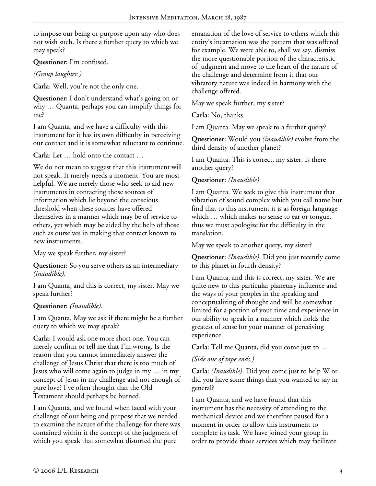to impose our being or purpose upon any who does not wish such. Is there a further query to which we may speak?

**Questioner:** I'm confused.

*(Group laughter.)*

**Carla:** Well, you're not the only one.

**Questioner:** I don't understand what's going on or why … Quanta, perhaps you can simplify things for me?

I am Quanta, and we have a difficulty with this instrument for it has its own difficulty in perceiving our contact and it is somewhat reluctant to continue.

**Carla:** Let … hold onto the contact …

We do not mean to suggest that this instrument will not speak. It merely needs a moment. You are most helpful. We are merely those who seek to aid new instruments in contacting those sources of information which lie beyond the conscious threshold when these sources have offered themselves in a manner which may be of service to others, yet which may be aided by the help of those such as ourselves in making that contact known to new instruments.

May we speak further, my sister?

**Questioner:** So you serve others as an intermediary *(inaudible)*.

I am Quanta, and this is correct, my sister. May we speak further?

### **Questioner:** *(Inaudible)*.

I am Quanta. May we ask if there might be a further query to which we may speak?

**Carla:** I would ask one more short one. You can merely confirm or tell me that I'm wrong. Is the reason that you cannot immediately answer the challenge of Jesus Christ that there is too much of Jesus who will come again to judge in my … in my concept of Jesus in my challenge and not enough of pure love? I've often thought that the Old Testament should perhaps be burned.

I am Quanta, and we found when faced with your challenge of our being and purpose that we needed to examine the nature of the challenge for there was contained within it the concept of the judgment of which you speak that somewhat distorted the pure

emanation of the love of service to others which this entity's incarnation was the pattern that was offered for example. We were able to, shall we say, dismiss the more questionable portion of the characteristic of judgment and move to the heart of the nature of the challenge and determine from it that our vibratory nature was indeed in harmony with the challenge offered.

May we speak further, my sister?

**Carla:** No, thanks.

I am Quanta. May we speak to a further query?

**Questioner:** Would you *(inaudible)* evolve from the third density of another planet?

I am Quanta. This is correct, my sister. Is there another query?

## **Questioner:** *(Inaudible)*.

I am Quanta. We seek to give this instrument that vibration of sound complex which you call name but find that to this instrument it is as foreign language which … which makes no sense to ear or tongue, thus we must apologize for the difficulty in the translation.

May we speak to another query, my sister?

**Questioner:** *(Inaudible)*. Did you just recently come to this planet in fourth density?

I am Quanta, and this is correct, my sister. We are quite new to this particular planetary influence and the ways of your peoples in the speaking and conceptualizing of thought and will be somewhat limited for a portion of your time and experience in our ability to speak in a manner which holds the greatest of sense for your manner of perceiving experience.

**Carla:** Tell me Quanta, did you come just to …

### *(Side one of tape ends.)*

**Carla:** *(Inaudible)*. Did you come just to help W or did you have some things that you wanted to say in general?

I am Quanta, and we have found that this instrument has the necessity of attending to the mechanical device and we therefore paused for a moment in order to allow this instrument to complete its task. We have joined your group in order to provide those services which may facilitate